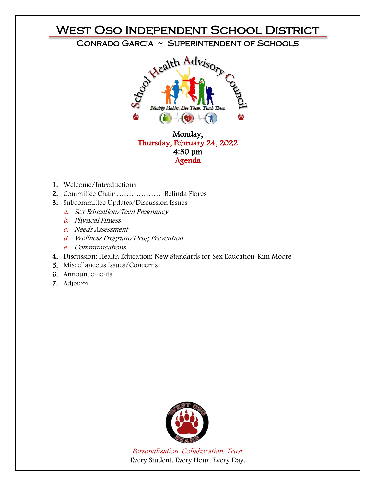

- 1. Welcome/Introductions
- 2. Committee Chair Belinda Flores ………………
- 3. Subcommittee Updates/Discussion Issues
	- a. Sex Education/Teen Pregnancy
	- b. Physical Fitness
	- c. Needs Assessment
	- d. Wellness Program/Drug Prevention
	- e. Communications
- 4. Discussion: Health Education: New Standards for Sex Education-Kim Moore
- 5. Miscellaneous Issues/Concerns
- 6. Announcements
- 7. Adjourn



Personalization. Collaboration. Trust. Every Student. Every Hour. Every Day.